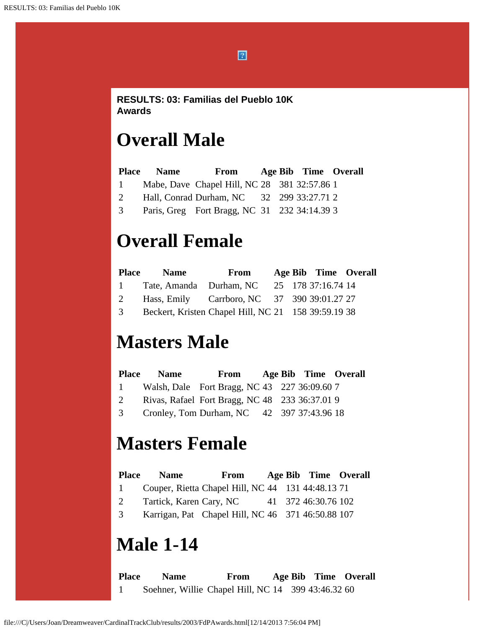$\boxed{2}$ 

#### **RESULTS: 03: Familias del Pueblo 10K Awards**

# **Overall Male**

|              | <b>Place Name</b> | From                                         |  | Age Bib Time Overall |  |
|--------------|-------------------|----------------------------------------------|--|----------------------|--|
| $\mathbf{1}$ |                   | Mabe, Dave Chapel Hill, NC 28 381 32:57.86 1 |  |                      |  |
| 2            |                   | Hall, Conrad Durham, NC 32 299 33:27.71 2    |  |                      |  |
| 3            |                   | Paris, Greg Fort Bragg, NC 31 232 34:14.39 3 |  |                      |  |

# **Overall Female**

| <b>Place</b> | <b>Name</b> | From                                                |  | Age Bib Time Overall |  |
|--------------|-------------|-----------------------------------------------------|--|----------------------|--|
| $\mathbf{1}$ |             | Tate, Amanda Durham, NC 25 178 37:16.74 14          |  |                      |  |
| 2            |             | Hass, Emily Carrboro, NC 37 390 39:01.27 27         |  |                      |  |
| 3            |             | Beckert, Kristen Chapel Hill, NC 21 158 39:59.19 38 |  |                      |  |

#### **Masters Male**

|                | <b>Place Name</b> | From Age Bib Time Overall                      |  |  |
|----------------|-------------------|------------------------------------------------|--|--|
| $1 -$          |                   | Walsh, Dale Fort Bragg, NC 43 227 36:09.60 7   |  |  |
| 2              |                   | Rivas, Rafael Fort Bragg, NC 48 233 36:37.01 9 |  |  |
| 3 <sup>7</sup> |                   | Cronley, Tom Durham, NC 42 397 37:43.96 18     |  |  |

## **Masters Female**

| <b>Place</b> | <b>Name</b>                                       | From |  | Age Bib Time Overall |  |
|--------------|---------------------------------------------------|------|--|----------------------|--|
| $\mathbf{1}$ | Couper, Rietta Chapel Hill, NC 44 131 44:48.13 71 |      |  |                      |  |
| 2            | Tartick, Karen Cary, NC                           |      |  | 41 372 46:30.76 102  |  |
| 3            | Karrigan, Pat Chapel Hill, NC 46 371 46:50.88 107 |      |  |                      |  |

#### **Male 1-14**

**Place Name From Age Bib Time Overall** 1 Soehner, Willie Chapel Hill, NC 14 399 43:46.32 60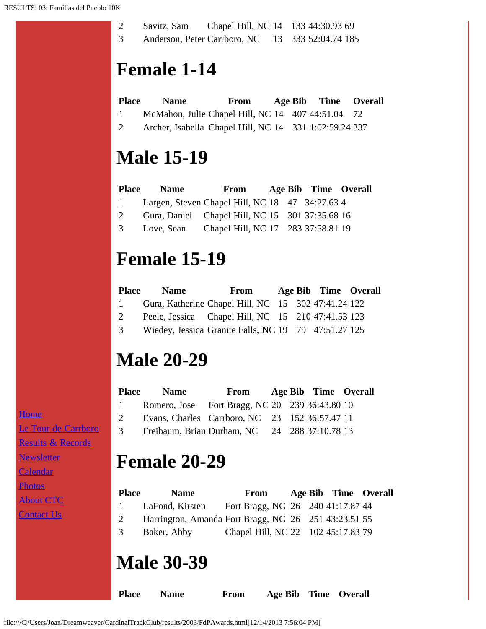| Savitz, Sam |  | Chapel Hill, NC 14 133 44:30.93 69               |
|-------------|--|--------------------------------------------------|
|             |  | Anderson, Peter Carrboro, NC 13 333 52:04.74 185 |

# **Female 1-14**

| <b>Place</b> | <b>Name</b>                                            | From |  | Age Bib Time Overall |  |
|--------------|--------------------------------------------------------|------|--|----------------------|--|
| 1            | McMahon, Julie Chapel Hill, NC 14 407 44:51.04 72      |      |  |                      |  |
| 2            | Archer, Isabella Chapel Hill, NC 14 331 1:02:59.24 337 |      |  |                      |  |

#### **Male 15-19**

| <b>Place</b>   | <b>Name</b> | From                                            |  | Age Bib Time Overall |  |
|----------------|-------------|-------------------------------------------------|--|----------------------|--|
| $1 -$          |             | Largen, Steven Chapel Hill, NC 18 47 34:27.63 4 |  |                      |  |
| 2              |             | Gura, Daniel Chapel Hill, NC 15 301 37:35.68 16 |  |                      |  |
| $\mathfrak{Z}$ |             | Love, Sean Chapel Hill, NC 17 283 37:58.81 19   |  |                      |  |

# **Female 15-19**

| <b>Place</b> | <b>Name</b> | From                                                 |  | Age Bib Time Overall |  |
|--------------|-------------|------------------------------------------------------|--|----------------------|--|
| $1 \quad$    |             | Gura, Katherine Chapel Hill, NC 15 302 47:41.24 122  |  |                      |  |
| 2            |             | Peele, Jessica Chapel Hill, NC 15 210 47:41.53 123   |  |                      |  |
| 3            |             | Wiedey, Jessica Granite Falls, NC 19 79 47:51.27 125 |  |                      |  |

# **Male 20-29**

| <b>Place</b> | <b>Name</b>                                     | From Age Bib Time Overall |  |  |
|--------------|-------------------------------------------------|---------------------------|--|--|
| $1 -$        | Romero, Jose Fort Bragg, NC 20 239 36:43.80 10  |                           |  |  |
| 2            | Evans, Charles Carrboro, NC 23 152 36:57.47 11  |                           |  |  |
|              | 3 Freibaum, Brian Durham, NC 24 288 37:10.78 13 |                           |  |  |

## **Female 20-29**

| <b>Place</b> | <b>Name</b>                                          | From                               |  | Age Bib Time Overall |  |
|--------------|------------------------------------------------------|------------------------------------|--|----------------------|--|
| $\mathbf{1}$ | LaFond, Kirsten                                      | Fort Bragg, NC 26 240 41:17.87 44  |  |                      |  |
| 2            | Harrington, Amanda Fort Bragg, NC 26 251 43:23.51 55 |                                    |  |                      |  |
| 3            | Baker, Abby                                          | Chapel Hill, NC 22 102 45:17.83 79 |  |                      |  |

#### **Male 30-39**

**Place Name From Age Bib Time Overall**

**[Home](file:///home.html)** [Le Tour de Carrboro](file:///letourdecarrboro.html) [Results & Records](file:///results.html) [Newsletter](file:///newsletterSignup.html) [Calendar](file:///page/page/8345191.htm) **[Photos](file:///photos.html) [About CTC](file:///about.html)** [Contact Us](file:///contactUs.html)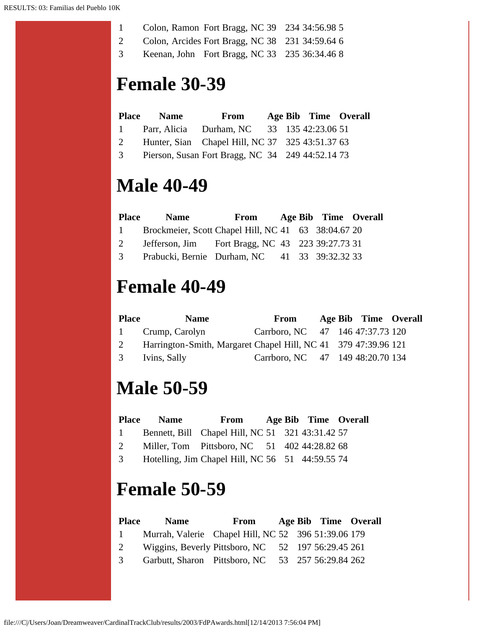- 1 Colon, Ramon Fort Bragg, NC 39 234 34:56.98 5
- 2 Colon, Arcides Fort Bragg, NC 38 231 34:59.64 6
- 3 Keenan, John Fort Bragg, NC 33 235 36:34.46 8

#### **Female 30-39**

|   | Place Name From Age Bib Time Overall            |  |  |
|---|-------------------------------------------------|--|--|
|   | 1 Parr, Alicia Durham, NC 33 135 42:23.06 51    |  |  |
| 2 | Hunter, Sian Chapel Hill, NC 37 325 43:51.37 63 |  |  |

3 Pierson, Susan Fort Bragg, NC 34 249 44:52.14 73

#### **Male 40-49**

| <b>Place</b>   | <b>Name</b>                                         | From Age Bib Time Overall |  |  |
|----------------|-----------------------------------------------------|---------------------------|--|--|
| $1 \quad$      | Brockmeier, Scott Chapel Hill, NC 41 63 38:04.67 20 |                           |  |  |
| 2              | Jefferson, Jim Fort Bragg, NC 43 223 39:27.73 31    |                           |  |  |
| 3 <sup>7</sup> | Prabucki, Bernie Durham, NC 41 33 39:32.32 33       |                           |  |  |

#### **Female 40-49**

| <b>Place</b> | <b>Name</b>                                                      | From                             |  | Age Bib Time Overall |  |
|--------------|------------------------------------------------------------------|----------------------------------|--|----------------------|--|
|              | 1 Crump, Carolyn                                                 | Carrboro, NC 47 146 47:37.73 120 |  |                      |  |
|              | 2 Harrington-Smith, Margaret Chapel Hill, NC 41 379 47:39.96 121 |                                  |  |                      |  |
|              | 3 Ivins, Sally                                                   | Carrboro, NC 47 149 48:20.70 134 |  |                      |  |

#### **Male 50-59**

| <b>Place</b> | <b>Name</b> | From | Age Bib Time Overall |  |  |
|--------------|-------------|------|----------------------|--|--|
|--------------|-------------|------|----------------------|--|--|

- 1 Bennett, Bill Chapel Hill, NC 51 321 43:31.42 57
- 2 Miller, Tom Pittsboro, NC 51 402 44:28.82 68
- 3 Hotelling, Jim Chapel Hill, NC 56 51 44:59.55 74

## **Female 50-59**

| <b>Place</b>  | <b>Name</b>                                         | From |  | Age Bib Time Overall |  |
|---------------|-----------------------------------------------------|------|--|----------------------|--|
| $\mathbf{1}$  | Murrah, Valerie Chapel Hill, NC 52 396 51:39.06 179 |      |  |                      |  |
| 2             | Wiggins, Beverly Pittsboro, NC 52 197 56:29.45 261  |      |  |                      |  |
| $\mathcal{E}$ | Garbutt, Sharon Pittsboro, NC 53 257 56:29.84 262   |      |  |                      |  |